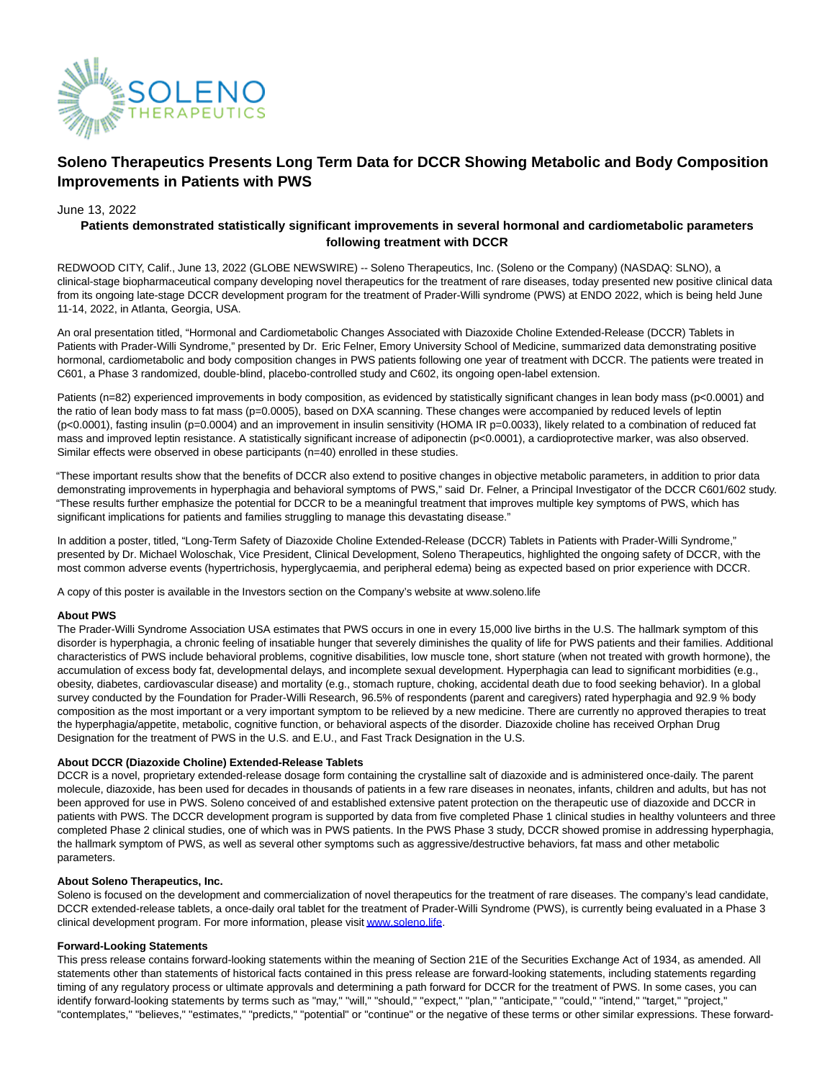

# **Soleno Therapeutics Presents Long Term Data for DCCR Showing Metabolic and Body Composition Improvements in Patients with PWS**

## June 13, 2022

## **Patients demonstrated statistically significant improvements in several hormonal and cardiometabolic parameters following treatment with DCCR**

REDWOOD CITY, Calif., June 13, 2022 (GLOBE NEWSWIRE) -- Soleno Therapeutics, Inc. (Soleno or the Company) (NASDAQ: SLNO), a clinical-stage biopharmaceutical company developing novel therapeutics for the treatment of rare diseases, today presented new positive clinical data from its ongoing late-stage DCCR development program for the treatment of Prader-Willi syndrome (PWS) at ENDO 2022, which is being held June 11-14, 2022, in Atlanta, Georgia, USA.

An oral presentation titled, "Hormonal and Cardiometabolic Changes Associated with Diazoxide Choline Extended-Release (DCCR) Tablets in Patients with Prader-Willi Syndrome," presented by Dr. Eric Felner, Emory University School of Medicine, summarized data demonstrating positive hormonal, cardiometabolic and body composition changes in PWS patients following one year of treatment with DCCR. The patients were treated in C601, a Phase 3 randomized, double-blind, placebo-controlled study and C602, its ongoing open-label extension.

Patients (n=82) experienced improvements in body composition, as evidenced by statistically significant changes in lean body mass (p<0.0001) and the ratio of lean body mass to fat mass (p=0.0005), based on DXA scanning. These changes were accompanied by reduced levels of leptin (p<0.0001), fasting insulin (p=0.0004) and an improvement in insulin sensitivity (HOMA IR p=0.0033), likely related to a combination of reduced fat mass and improved leptin resistance. A statistically significant increase of adiponectin (p<0.0001), a cardioprotective marker, was also observed. Similar effects were observed in obese participants (n=40) enrolled in these studies.

"These important results show that the benefits of DCCR also extend to positive changes in objective metabolic parameters, in addition to prior data demonstrating improvements in hyperphagia and behavioral symptoms of PWS," said Dr. Felner, a Principal Investigator of the DCCR C601/602 study. "These results further emphasize the potential for DCCR to be a meaningful treatment that improves multiple key symptoms of PWS, which has significant implications for patients and families struggling to manage this devastating disease."

In addition a poster, titled, "Long-Term Safety of Diazoxide Choline Extended-Release (DCCR) Tablets in Patients with Prader-Willi Syndrome," presented by Dr. Michael Woloschak, Vice President, Clinical Development, Soleno Therapeutics, highlighted the ongoing safety of DCCR, with the most common adverse events (hypertrichosis, hyperglycaemia, and peripheral edema) being as expected based on prior experience with DCCR.

A copy of this poster is available in the Investors section on the Company's website at www.soleno.life

### **About PWS**

The Prader-Willi Syndrome Association USA estimates that PWS occurs in one in every 15,000 live births in the U.S. The hallmark symptom of this disorder is hyperphagia, a chronic feeling of insatiable hunger that severely diminishes the quality of life for PWS patients and their families. Additional characteristics of PWS include behavioral problems, cognitive disabilities, low muscle tone, short stature (when not treated with growth hormone), the accumulation of excess body fat, developmental delays, and incomplete sexual development. Hyperphagia can lead to significant morbidities (e.g., obesity, diabetes, cardiovascular disease) and mortality (e.g., stomach rupture, choking, accidental death due to food seeking behavior). In a global survey conducted by the Foundation for Prader-Willi Research, 96.5% of respondents (parent and caregivers) rated hyperphagia and 92.9 % body composition as the most important or a very important symptom to be relieved by a new medicine. There are currently no approved therapies to treat the hyperphagia/appetite, metabolic, cognitive function, or behavioral aspects of the disorder. Diazoxide choline has received Orphan Drug Designation for the treatment of PWS in the U.S. and E.U., and Fast Track Designation in the U.S.

### **About DCCR (Diazoxide Choline) Extended-Release Tablets**

DCCR is a novel, proprietary extended-release dosage form containing the crystalline salt of diazoxide and is administered once-daily. The parent molecule, diazoxide, has been used for decades in thousands of patients in a few rare diseases in neonates, infants, children and adults, but has not been approved for use in PWS. Soleno conceived of and established extensive patent protection on the therapeutic use of diazoxide and DCCR in patients with PWS. The DCCR development program is supported by data from five completed Phase 1 clinical studies in healthy volunteers and three completed Phase 2 clinical studies, one of which was in PWS patients. In the PWS Phase 3 study, DCCR showed promise in addressing hyperphagia, the hallmark symptom of PWS, as well as several other symptoms such as aggressive/destructive behaviors, fat mass and other metabolic parameters.

#### **About Soleno Therapeutics, Inc.**

Soleno is focused on the development and commercialization of novel therapeutics for the treatment of rare diseases. The company's lead candidate, DCCR extended-release tablets, a once-daily oral tablet for the treatment of Prader-Willi Syndrome (PWS), is currently being evaluated in a Phase 3 clinical development program. For more information, please visi[t www.soleno.life.](https://www.globenewswire.com/Tracker?data=hX3Qfg5SS34RhkEEts4tw11YgNjrdZn9KpGYyL7M8tQwlJtELXBGMfgG1id2HP5jMqdFEx8vEF8aqvFbOqvInw==)

#### **Forward-Looking Statements**

This press release contains forward-looking statements within the meaning of Section 21E of the Securities Exchange Act of 1934, as amended. All statements other than statements of historical facts contained in this press release are forward-looking statements, including statements regarding timing of any regulatory process or ultimate approvals and determining a path forward for DCCR for the treatment of PWS. In some cases, you can identify forward-looking statements by terms such as "may," "will," "should," "expect," "plan," "anticipate," "could," "intend," "target," "project," "contemplates," "believes," "estimates," "predicts," "potential" or "continue" or the negative of these terms or other similar expressions. These forward-